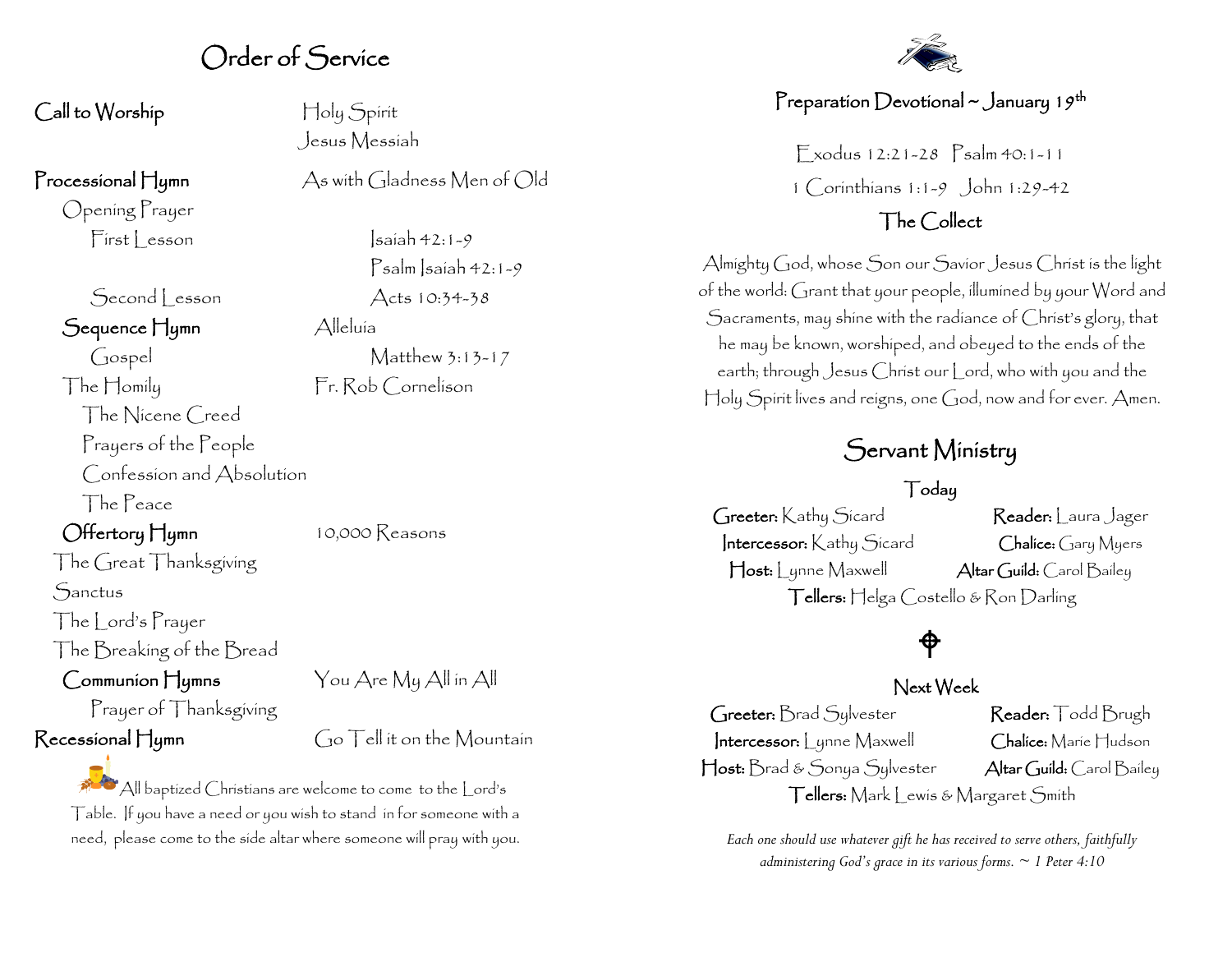## Order of Service

#### Call to Worship Holy Spirit

Opening Prayer

Second esson Acts 10:34-38

#### Sequence Hymn Alleluía

Gospel Matthew 3:13-17 The Homily Fr. Rob Cornelison The Nicene Creed Prayers of the People Confession and Absolution The Peace

## Offertory Hymn 10,000 Reasons

**Sanctus** 

The | ord's Prayer

The Breaking of the Bread

Prayer of Thanksgiving

The Great Thanksgiving

### Communion Hymns You Are My All in All

 $R$ ecessional  $H$ <sub>ymn</sub>  $G$ <sup>o</sup> Tell it on the Mountain

All baptized Christians are welcome to come to the Lord's Table. If you have a need or you wish to stand in for someone with a need, please come to the side altar where someone will pray with you.

Jesus Messiah

Processional Hymn As with Gladness Men of Old

 $First| reson$   $|sain 42:1-9$ Psalm Isaiah 42:1-9

## Preparation Devotional ~ January 19th

Exodus 12:21-28 Psalm 40:1-11 1 Corinthians 1:1-9 John 1:29-42

## The Collect

Almighty God, whose Son our Savior Jesus Christ is the light of the world: Grant that your people, illumined by your Word and Sacraments, may shine with the radiance of Christ's glory, that he may be known, worshiped, and obeyed to the ends of the earth; through Jesus Christ our Lord, who with you and the Holy Spirit lives and reigns, one God, now and for ever. Amen.

## Servant Ministry

#### Today

Greeter: Kathy Sicard Reader: Laura Jager Intercessor: Kathy Sicard Chalice: Gary Myers Host: Lynne Maxwell Altar Guild: Carol Bailey Tellers: Helga Costello & Ron Darling

## $\bigoplus$

#### Next Week

Greeter: Brad Sylvester Reader: Todd Brugh Intercessor: | ynne Maxwell Chalice: Marie Hudson Host: Brad & Sonya Sylvester Altar Guild: Carol Bailey Tellers: Mark Lewis & Margaret Smith

*Each one should use whatever gift he has received to serve others, faithfully administering God's grace in its various forms. ~ 1 Peter 4:10*